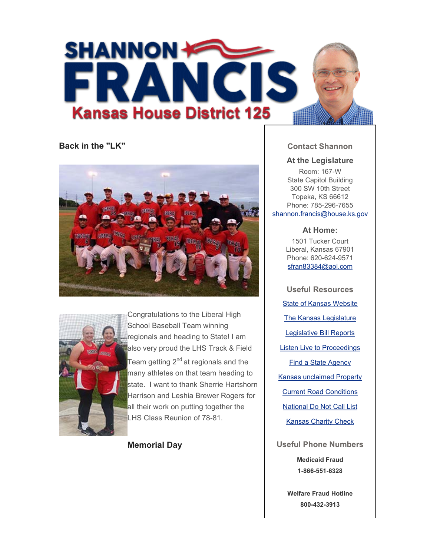

**Back in the "LK"**





Congratulations to the Liberal High School Baseball Team winning regionals and heading to State! I am also very proud the LHS Track & Field Team getting  $2^{nd}$  at regionals and the many athletes on that team heading to state. I want to thank Sherrie Hartshorn Harrison and Leshia Brewer Rogers for all their work on putting together the LHS Class Reunion of 78-81.

**Memorial Day**

# **Contact Shannon**

## **At the Legislature**

Room: 167-W State Capitol Building 300 SW 10th Street Topeka, KS 66612 Phone: 785-296-7655 shannon.francis@house.ks.gov

### **At Home:**

1501 Tucker Court Liberal, Kansas 67901 Phone: 620-624-9571 sfran83384@aol.com

**Useful Resources** State of Kansas Website The Kansas Legislature Legislative Bill Reports Listen Live to Proceedings Find a State Agency Kansas unclaimed Property Current Road Conditions National Do Not Call List Kansas Charity Check

**Useful Phone Numbers**

**Medicaid Fraud 1-866-551-6328**

**Welfare Fraud Hotline 800-432-3913**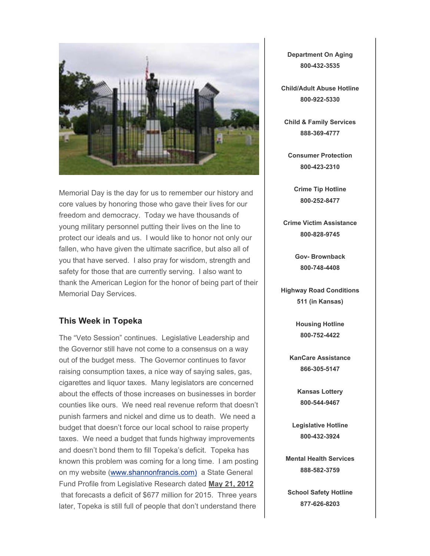

Memorial Day is the day for us to remember our history and core values by honoring those who gave their lives for our freedom and democracy. Today we have thousands of young military personnel putting their lives on the line to protect our ideals and us. I would like to honor not only our fallen, who have given the ultimate sacrifice, but also all of you that have served. I also pray for wisdom, strength and safety for those that are currently serving. I also want to thank the American Legion for the honor of being part of their Memorial Day Services.

### **This Week in Topeka**

The "Veto Session" continues. Legislative Leadership and the Governor still have not come to a consensus on a way out of the budget mess. The Governor continues to favor raising consumption taxes, a nice way of saying sales, gas, cigarettes and liquor taxes. Many legislators are concerned about the effects of those increases on businesses in border counties like ours. We need real revenue reform that doesn't punish farmers and nickel and dime us to death. We need a budget that doesn't force our local school to raise property taxes. We need a budget that funds highway improvements and doesn't bond them to fill Topeka's deficit. Topeka has known this problem was coming for a long time. I am posting on my website (www.shannonfrancis.com) a State General Fund Profile from Legislative Research dated **May 21, 2012** that forecasts a deficit of \$677 million for 2015. Three years later, Topeka is still full of people that don't understand there

**Department On Aging 800-432-3535**

**Child/Adult Abuse Hotline 800-922-5330**

**Child & Family Services 888-369-4777**

**Consumer Protection 800-423-2310**

**Crime Tip Hotline 800-252-8477**

**Crime Victim Assistance 800-828-9745**

> **Gov- Brownback 800-748-4408**

**Highway Road Conditions 511 (in Kansas)**

> **Housing Hotline 800-752-4422**

**KanCare Assistance 866-305-5147**

> **Kansas Lottery 800-544-9467**

**Legislative Hotline 800-432-3924**

**Mental Health Services 888-582-3759**

**School Safety Hotline 877-626-8203**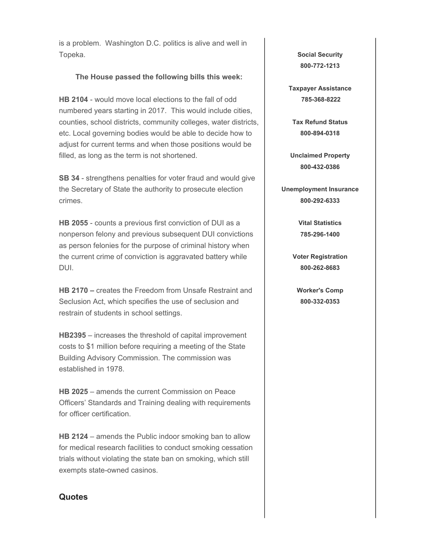is a problem. Washington D.C. politics is alive and well in Topeka.

### **The House passed the following bills this week:**

**HB 2104** - would move local elections to the fall of odd numbered years starting in 2017. This would include cities, counties, school districts, community colleges, water districts, etc. Local governing bodies would be able to decide how to adjust for current terms and when those positions would be filled, as long as the term is not shortened.

**SB 34** - strengthens penalties for voter fraud and would give the Secretary of State the authority to prosecute election crimes.

**HB 2055** - counts a previous first conviction of DUI as a nonperson felony and previous subsequent DUI convictions as person felonies for the purpose of criminal history when the current crime of conviction is aggravated battery while DUI.

**HB 2170 –** creates the Freedom from Unsafe Restraint and Seclusion Act, which specifies the use of seclusion and restrain of students in school settings.

**HB2395** – increases the threshold of capital improvement costs to \$1 million before requiring a meeting of the State Building Advisory Commission. The commission was established in 1978.

**HB 2025** – amends the current Commission on Peace Officers' Standards and Training dealing with requirements for officer certification.

**HB 2124** – amends the Public indoor smoking ban to allow for medical research facilities to conduct smoking cessation trials without violating the state ban on smoking, which still exempts state-owned casinos.

#### **Quotes**

**Social Security 800-772-1213**

**Taxpayer Assistance 785-368-8222**

**Tax Refund Status 800-894-0318**

**Unclaimed Property 800-432-0386**

**Unemployment Insurance 800-292-6333**

> **Vital Statistics 785-296-1400**

**Voter Registration 800-262-8683**

**Worker's Comp 800-332-0353**